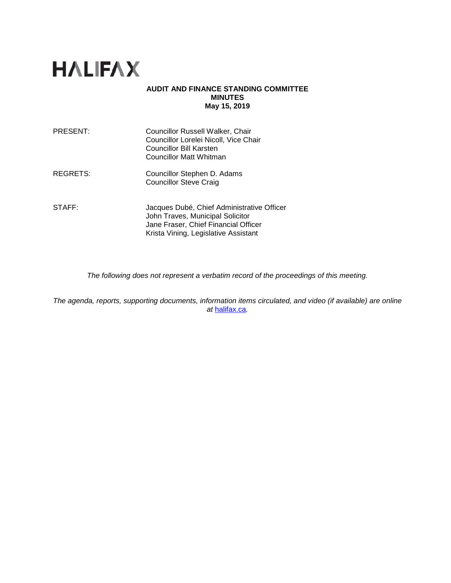# **HALIFAX**

### **AUDIT AND FINANCE STANDING COMMITTEE MINUTES May 15, 2019**

| PRESENT: | Councillor Russell Walker, Chair<br>Councillor Lorelei Nicoll, Vice Chair<br><b>Councillor Bill Karsten</b><br><b>Councillor Matt Whitman</b> |
|----------|-----------------------------------------------------------------------------------------------------------------------------------------------|
| REGRETS: | Councillor Stephen D. Adams<br><b>Councillor Steve Craig</b>                                                                                  |
| STAFF:   | Jacques Dubé, Chief Administrative Officer<br>John Traves, Municipal Solicitor<br>Jane Fraser, Chief Financial Officer                        |

*The following does not represent a verbatim record of the proceedings of this meeting.*

Krista Vining, Legislative Assistant

*The agenda, reports, supporting documents, information items circulated, and video (if available) are online at* [halifax.ca](http://www.halifax.ca/)*.*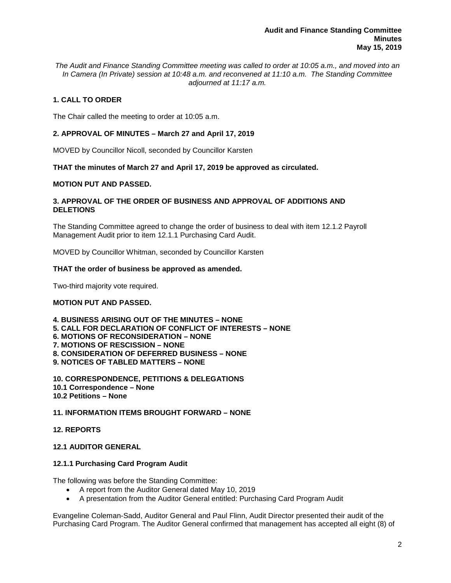*The Audit and Finance Standing Committee meeting was called to order at 10:05 a.m., and moved into an In Camera (In Private) session at 10:48 a.m. and reconvened at 11:10 a.m. The Standing Committee adjourned at 11:17 a.m.* 

# **1. CALL TO ORDER**

The Chair called the meeting to order at 10:05 a.m.

# **2. APPROVAL OF MINUTES – March 27 and April 17, 2019**

MOVED by Councillor Nicoll, seconded by Councillor Karsten

### **THAT the minutes of March 27 and April 17, 2019 be approved as circulated.**

## **MOTION PUT AND PASSED.**

## **3. APPROVAL OF THE ORDER OF BUSINESS AND APPROVAL OF ADDITIONS AND DELETIONS**

The Standing Committee agreed to change the order of business to deal with item 12.1.2 Payroll Management Audit prior to item 12.1.1 Purchasing Card Audit.

MOVED by Councillor Whitman, seconded by Councillor Karsten

### **THAT the order of business be approved as amended.**

Two-third majority vote required.

## **MOTION PUT AND PASSED.**

**4. BUSINESS ARISING OUT OF THE MINUTES – NONE 5. CALL FOR DECLARATION OF CONFLICT OF INTERESTS – NONE 6. MOTIONS OF RECONSIDERATION – NONE 7. MOTIONS OF RESCISSION – NONE 8. CONSIDERATION OF DEFERRED BUSINESS – NONE 9. NOTICES OF TABLED MATTERS – NONE**

**10. CORRESPONDENCE, PETITIONS & DELEGATIONS 10.1 Correspondence – None 10.2 Petitions – None**

# **11. INFORMATION ITEMS BROUGHT FORWARD – NONE**

### **12. REPORTS**

## **12.1 AUDITOR GENERAL**

### **12.1.1 Purchasing Card Program Audit**

The following was before the Standing Committee:

- A report from the Auditor General dated May 10, 2019
- A presentation from the Auditor General entitled: Purchasing Card Program Audit

Evangeline Coleman-Sadd, Auditor General and Paul Flinn, Audit Director presented their audit of the Purchasing Card Program. The Auditor General confirmed that management has accepted all eight (8) of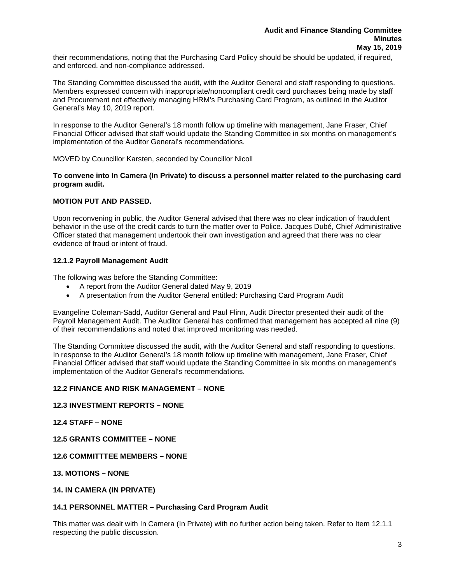their recommendations, noting that the Purchasing Card Policy should be should be updated, if required, and enforced, and non-compliance addressed.

The Standing Committee discussed the audit, with the Auditor General and staff responding to questions. Members expressed concern with inappropriate/noncompliant credit card purchases being made by staff and Procurement not effectively managing HRM's Purchasing Card Program, as outlined in the Auditor General's May 10, 2019 report.

In response to the Auditor General's 18 month follow up timeline with management, Jane Fraser, Chief Financial Officer advised that staff would update the Standing Committee in six months on management's implementation of the Auditor General's recommendations.

MOVED by Councillor Karsten, seconded by Councillor Nicoll

## **To convene into In Camera (In Private) to discuss a personnel matter related to the purchasing card program audit.**

# **MOTION PUT AND PASSED.**

Upon reconvening in public, the Auditor General advised that there was no clear indication of fraudulent behavior in the use of the credit cards to turn the matter over to Police. Jacques Dubé, Chief Administrative Officer stated that management undertook their own investigation and agreed that there was no clear evidence of fraud or intent of fraud.

## **12.1.2 Payroll Management Audit**

The following was before the Standing Committee:

- A report from the Auditor General dated May 9, 2019
- A presentation from the Auditor General entitled: Purchasing Card Program Audit

Evangeline Coleman-Sadd, Auditor General and Paul Flinn, Audit Director presented their audit of the Payroll Management Audit. The Auditor General has confirmed that management has accepted all nine (9) of their recommendations and noted that improved monitoring was needed.

The Standing Committee discussed the audit, with the Auditor General and staff responding to questions. In response to the Auditor General's 18 month follow up timeline with management, Jane Fraser, Chief Financial Officer advised that staff would update the Standing Committee in six months on management's implementation of the Auditor General's recommendations.

# **12.2 FINANCE AND RISK MANAGEMENT – NONE**

## **12.3 INVESTMENT REPORTS – NONE**

**12.4 STAFF – NONE** 

### **12.5 GRANTS COMMITTEE – NONE**

### **12.6 COMMITTTEE MEMBERS – NONE**

## **13. MOTIONS – NONE**

### **14. IN CAMERA (IN PRIVATE)**

### **14.1 PERSONNEL MATTER – Purchasing Card Program Audit**

This matter was dealt with In Camera (In Private) with no further action being taken. Refer to Item 12.1.1 respecting the public discussion.